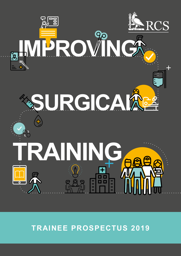

**TRAINEE PROSPECTUS 2019**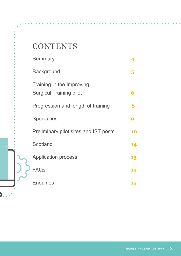# **CONTENTS**

|  | <b>Summary</b>                                              |    |
|--|-------------------------------------------------------------|----|
|  | <b>Background</b>                                           | 5  |
|  | Training in the Improving<br><b>Surgical Training pilot</b> | 6  |
|  | Progression and length of training                          | 8  |
|  | <b>Specialties</b>                                          | q  |
|  | Preliminary pilot sites and IST posts                       | 10 |
|  | Scotland                                                    | 14 |
|  | <b>Application process</b>                                  | 15 |
|  | <b>FAQs</b>                                                 | 15 |
|  | <b>Enquiries</b>                                            | 15 |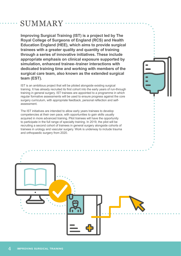### SUMMARY

**Improving Surgical Training (IST) is a project led by The Royal College of Surgeons of England (RCS) and Health Education England (HEE), which aims to provide surgical trainees with a greater quality and quantity of training through a series of innovative initiatives. These include appropriate emphasis on clinical exposure supported by simulation, enhanced trainee–trainer interactions with dedicated training time and working with members of the surgical care team, also known as the extended surgical team (EST).**

IST is an ambitious project that will be piloted alongside existing surgical training. It has already recruited its first cohort into the early years of run-through training in general surgery. IST trainees are appointed to a programme in which regular formative assessments will be used to ensure progress against the core surgery curriculum, with appropriate feedback, personal reflection and selfassessment.

The IST initiatives are intended to allow early years trainees to develop competencies at their own pace, with opportunities to gain skills usually acquired in more advanced training. Pilot trainees will have the opportunity to participate in the full range of specialty training. In 2019, the pilot will be recruiting a second cohort of trainees in general surgery alongside cohorts of trainees in urology and vascular surgery. Work is underway to include trauma and orthopaedic surgery from 2020.

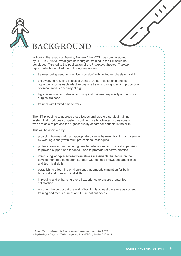| $\bm{\Delta}$ |
|---------------|
| $\prime/$     |
|               |



# BACKGROUND

Following the Shape of Training Review,<sup>2</sup> the RCS was commissioned by HEE in 2015 to investigate how surgical training in the UK could be developed. This led to the publication of the *Improving Surgical Training* report,3 which identified the following key issues:

- trainees being used for 'service provision' with limited emphasis on training
- shift working resulting in loss of trainee–trainer relationship and lost opportunity for valuable elective daytime training owing to a high proportion of on-call work, especially at night
- high dissatisfaction rates among surgical trainees, especially among core surgical trainees
- **●**  trainers with limited time to train.

The IST pilot aims to address these issues and create a surgical training system that produces competent, confident, self-motivated professionals who are able to provide the highest quality of care for patients in the NHS.

This will be achieved by:

- **●**  providing trainees with an appropriate balance between training and service by working closely with multi-professional colleagues
- professionalising and securing time for educational and clinical supervision to provide support and feedback, and to promote reflective practice
- introducing workplace-based formative assessments that focus on the development of a competent surgeon with defined knowledge and clinical and technical skills
- establishing a learning environment that embeds simulation for both technical and non-technical skills
- improving and enhancing overall experience to ensure greater job satisfaction
- ensuring the product at the end of training is at least the same as current training and meets current and future patient needs.

2. Shape of Training. *Securing the future of excellent patient care*. London: GMC; 2013

3. Royal College of Surgeons of England. *Improving Surgical Training*. London: RCS; 2015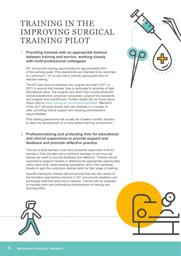# TRAINING IN THE IMPROVING SURGICAL TRAINING PILOT

### **1. Providing trainees with an appropriate balance between training and service, working closely with multi-professional colleagues**

IST will provide training opportunities for approximately 60% of the working week. Pilot placements are intended to be restricted to a minimum 1:10 on-call rota to provide appropriate time for elective training.

The IST pilot aims to champion the surgical care team (SCT or EST) to ensure that trainees' time is dedicated to activities of high educational value. The surgical care team may include advanced clinical practitioners, physician associates, surgical first assistants and surgical care practitioners. Further details can be found about these roles at **www.rcseng.ac.uk/surgicalcareteam**. Members of the SCT will work closely with pilot trainees in a number of sites, providing clinical support and reducing administrative responsibilities.

Pilot training placements will usually be of twelve months' duration, to allow the development of a more settled learning environment.

### **2. Professionalising and protecting time for educational and clinical supervision to provide support and feedback and promote reflective practice**

Trainers of pilot trainees must have protected supervision time for training in their job plan and a minimum average of one hour per trainee per week to provide feedback and reflection. Trainers will be expected to support trainees in obtaining the appropriate opportunities within ward work, when treating outpatients, and in the operating theatre to gain the curriculum-defined skills for their stage of training.

Specific training for trainers will ensure that they are fully aware of the formative approaches inherent in IST, and provide feedback and encourage reflective learning by trainees. Trainers will be expected to maintain their own professional development of training and teaching skills.





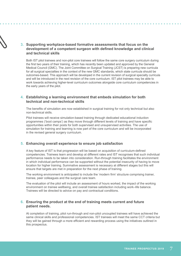### **3. Supporting workplace-based formative assessments that focus on the development of a competent surgeon with defined knowledge and clinical and technical skills**

Both IST pilot trainees and non-pilot core trainees will follow the same core surgery curriculum during the first two years of their training, which has recently been updated and approved by the General Medical Council (GMC). The Joint Committee on Surgical Training (JCST) is preparing new curricula for all surgical specialties in the context of the new GMC standards, which state curricula should be outcomes-based. This approach will be developed in the current revision of surgical specialty curricula and will be introduced in the next revision of the core curriculum. IST pilot trainees may be able to work towards achieving higher-level curriculum outcomes alongside core curriculum competencies in the early years of the pilot.

### **4. Establishing a learning environment that embeds simulation for both technical and non-technical skills**

The benefits of simulation are now established in surgical training for not only technical but also non-technical skills.

Pilot trainees will receive simulation-based training through dedicated educational induction programmes ('boot camps') as they move through different levels of training and have specific opportunities within their posts for both supervised and unsupervised activities. The use of simulation for training and learning is now part of the core curriculum and will be incorporated in the revised general surgery curriculum.

### **5. Enhancing overall experience to ensure job satisfaction**

A key feature of IST is that progression will be based on acquisition of curriculum-defined competencies. Trainees learn and develop at different rates and IST recognises that such individual performance needs to be taken into consideration. Run-through training facilitates the environment in which individual performance can be supported without the potential insecurity of having to move location for higher training. Summative assessment is necessary at different stages but this will ensure that targets are met in preparation for the next phase of training.

The working environment is anticipated to include the 'modern firm' structure comprising trainer, trainee, peer colleagues and the surgical care team.

The evaluation of the pilot will include an assessment of hours worked, the impact of the working environment on trainee wellbeing, and overall trainee satisfaction including work–life balance. Trainees will be directed to advice on pay and contractual conditions.

### **6. Ensuring the product at the end of training meets current and future patient needs.**

At completion of training, pilot run-through and non-pilot uncoupled trainees will have achieved the same clinical skills and professional competencies. IST trainees will meet the same CCT criteria but they will be gained through a more efficient and rewarding process using the initiatives outlined in this prospectus.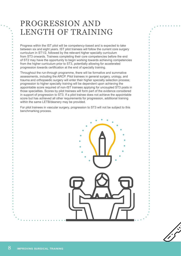### PROGRESSION AND LENGTH OF TRAINING

Progress within the IST pilot will be competency-based and is expected to take between six and eight years. IST pilot trainees will follow the current core surgery curriculum in ST1/2, followed by the relevant higher specialty curriculum from ST3 onwards. Trainees completing their core competencies before the end of ST2 may have the opportunity to begin working towards achieving competencies from the higher curriculum prior to ST3, potentially allowing for accelerated progression towards certification at the end of specialty training.

Throughout the run-through programme, there will be formative and summative assessments, including the ARCP. Pilot trainees in general surgery, urology, and trauma and orthopaedic surgery will enter their higher specialty selection process; progression to higher specialty training will be dependent upon achieving the appointable score required of non-IST trainees applying for uncoupled ST3 posts in those specialties. Scores by pilot trainees will form part of the evidence considered in support of progression to ST3. If a pilot trainee does not achieve the appointable score but has achieved all other requirements for progression, additional training within the same LETB/deanery may be provided.

For pilot trainees in vascular surgery, progression to ST3 will not be subject to this benchmarking process.

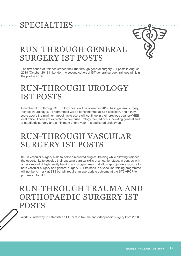### SPECIALTIES



### RUN-THROUGH GENERAL SURGERY IST POSTS

The first cohort of trainees started their run through general surgery IST posts in August 2018 (October 2018 in London). A second cohort of IST general surgery trainees will join the pilot in 2019.

# RUN-THROUGH UROLOGY IST POSTS

A number of run through IST urology posts will be offered in 2019. As in general surgery, trainees in urology IST programmes will be benchmarked at ST3 selection, and if they score above the minimum appointable score will continue in their previous deanery/HEE local office. These are expected to comprise urology themed posts including general and/ or paediatric surgery and a minimum of one year in a dedicated urology unit.

# RUN-THROUGH VASCULAR SURGERY IST POSTS

IST in vascular surgery aims to deliver improved surgical training while allowing trainees the opportunity to develop their vascular surgical skills at an earlier stage, in centres with a track record of high quality training and programmes that allow appropriate exposure to both vascular surgery and general surgery. IST trainees in a vascular training programme will not benchmark at ST3 but will require an appropriate outcome at the ST2 ARCP to progress into ST3.

### RUN-THROUGH TRAUMA AND ORTHOPAEDIC SURGERY IST POSTS

Work is underway to establish an IST pilot in trauma and orthopaedic surgery from 2020.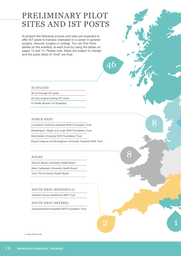# PRELIMINARY PILOT SITES AND IST POSTS

At present the following schools and sites are expected to offer IST posts to trainees interested in a career in general surgery, vascular surgery or urology. You can find more details on the availibity at each trust by using the tables on pages 12 and 13. Please note, these are subject to change and the posts listed on Oriel<sup>4</sup> are final.

46

8

8

1

#### **SCOTLAND**

26 run through IST posts

20 core surgical training IST posts

10 Health Boards (18 Hospitals)

#### NORTH WEST

Lancashire Teaching Hospitals NHS Foundation Trust

Wrightington, Wigan and Leigh NHS Foundation Trust

Manchester University NHS Foundation Trust

Royal Liverpool and Broadgreen University Hospitals NHS Trust

#### WALES

Aneurin Bevan University Health Board

Betsi Cadwaladr University Health Board

Cwm Taf University Health Board

#### SOUTH WEST (PENINSULA)

Northern Devon Healthcare NHS Trust

#### SOUTH WEST (SEVERN)

Gloucestershire Hospitals NHS Foundation Trust

2

4. www.oriel.nhs.uk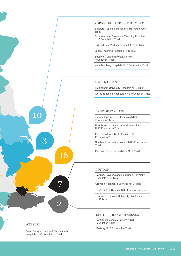

#### YORKSHIRE AND THE HUMBER

Bradford Teaching Hospitals NHS Foundation Trust

Doncaster and Bassetlaw Teaching Hospitals NHS Foundation Trust

Hull and East Yorkshire Hospitals NHS Trust

Leeds Teaching Hospitals NHS Trust

Sheffield Teaching Hospitals NHS Foundation Trust

York Teaching Hospitals NHS Foundation Trust

#### EAST MIDLANDS

Nottingham University Hospitals NHS Trust

Derby Teaching Hospitals NHS Foundation Trust

#### EAST OF ENGLAND

Cambridge University Hospitals NHS Foundation Trust

Norfolk and Norwich University Hospitals NHS Foundation Trust

East Suffolk and North Essex NHS Foundation Trust

Southend University Hospital NHS Foundation Trust

East and North Hertfordshire NHS Trust

#### LONDON

Barking, Havering and Redbridge University Hospitals NHS Trust

Croydon Healthcare Services NHS Trust

Guy's and St Thomas' NHS Foundation Trust

London North West University Healthcare NHS Trust

#### KENT SURREY AND SUSSEX

East Kent Hospitals University NHS Foundation Trust

Medway NHS Foundation Trust

#### WESSEX

Royal Bournemouth and Christchurch Hospitals NHS Foundation Trust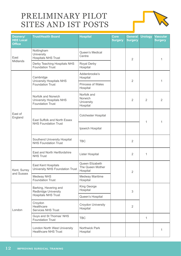# PRELIMINARY PILOT SITES AND IST POSTS



| Deanery/<br><b>HEE Local</b><br><b>Office</b> | <b>Trust/Health Board</b>                                                          | <b>Hospital</b>                                  | Core<br><b>Surgery</b> | <b>General</b><br><b>Surgery</b> | <b>Urology</b> | <b>Vascular</b><br><b>Surgery</b> |
|-----------------------------------------------|------------------------------------------------------------------------------------|--------------------------------------------------|------------------------|----------------------------------|----------------|-----------------------------------|
| East<br>Midlands                              | Nottingham<br>University<br><b>Hospitals NHS Trust</b>                             | Queen's Medical<br>Centre                        | 2                      |                                  |                | 1                                 |
|                                               | Derby Teaching Hospitals NHS<br><b>Foundation Trust</b>                            | Royal Derby<br>Hospital                          |                        |                                  |                |                                   |
| East of<br>England                            | Cambridge<br><b>University Hospitals NHS</b><br><b>Foundation Trust</b>            | Addenbrooke's<br>Hospital                        |                        | $\overline{2}$                   |                | 1                                 |
|                                               |                                                                                    | <b>Princess of Wales</b><br>Hospital             |                        |                                  |                |                                   |
|                                               | Norfolk and Norwich<br><b>University Hospitals NHS</b><br><b>Foundation Trust</b>  | Norfolk and<br>Norwich<br>University<br>Hospital |                        | $\overline{2}$                   | 2              | $\overline{2}$                    |
|                                               | East Suffolk and North Essex<br><b>NHS Foundation Trust</b>                        | <b>Colchester Hospital</b>                       |                        |                                  | 1              | 1                                 |
|                                               |                                                                                    | Ipswich Hospital                                 |                        |                                  |                |                                   |
|                                               | Southend University Hospital<br><b>NHS Foundation Trust</b>                        | <b>TBC</b>                                       |                        | $\overline{2}$                   |                |                                   |
|                                               | East and North Hertfordshire<br><b>NHS Trust</b>                                   | Lister Hospital                                  |                        | $\overline{2}$                   | 1              |                                   |
| Kent, Surrey<br>and Sussex                    | East Kent Hospitals<br>University NHS Foundation Trust                             | Queen Elizabeth<br>The Queen Mother<br>Hospital  |                        | $\overline{2}$                   |                |                                   |
|                                               | Medway NHS<br><b>Foundation Trust</b>                                              | Medway Maritime<br>Hospital                      |                        |                                  |                |                                   |
| London                                        | Barking, Havering and<br><b>Redbridge University</b><br><b>Hospitals NHS Trust</b> | King George<br>Hospital                          | 3                      |                                  |                |                                   |
|                                               |                                                                                    | Queen's Hospital                                 |                        |                                  |                |                                   |
|                                               | Croydon<br>Healthcare<br><b>Services NHS Trust</b>                                 | Croydon University<br>Hospital                   |                        | $\overline{2}$                   |                |                                   |
|                                               | Guys and St Thomas' NHS<br><b>Foundation Trust</b>                                 | <b>TBC</b>                                       |                        |                                  | 1              |                                   |
|                                               | London North West University<br><b>Healthcare NHS Trust</b>                        | Northwick Park<br>Hospital                       |                        |                                  |                | 1                                 |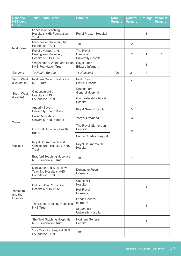| Deanery/<br><b>HEE Local</b><br><b>Office</b> | <b>Trust/Health Board</b>                                                           | <b>Hospital</b>                                      | <b>Core</b><br><b>Surgery</b> | <b>General</b><br><b>Surgery</b> | <b>Urology</b> | <b>Vascular</b><br><b>Surgery</b> |
|-----------------------------------------------|-------------------------------------------------------------------------------------|------------------------------------------------------|-------------------------------|----------------------------------|----------------|-----------------------------------|
| North West                                    | Lancashire Teaching<br><b>Hospitals NHS Foundation</b><br><b>Trust</b>              | Royal Preston Hospital                               |                               |                                  | 1              |                                   |
|                                               | <b>Manchester University NHS</b><br><b>Foundation Trust</b>                         | <b>TBC</b>                                           |                               | $\overline{2}$                   |                |                                   |
|                                               | Royal Liverpool and<br><b>Broadgreen University</b><br><b>Hospitals NHS Trust</b>   | The Royal<br>Liverpool<br><b>University Hospital</b> |                               | $\overline{2}$                   | 1              | 1                                 |
|                                               | Wrightington, Wigan and Leigh<br><b>NHS Foundation Trust</b>                        | Royal Albert<br><b>Edward Infirmary</b>              |                               |                                  | 1              |                                   |
| Scotland                                      | 10 Health Boards                                                                    | 18 Hospitals                                         | 20                            | 21                               | 4              | 1                                 |
| South West<br>(Peninsula)                     | Northern Devon Healthcare<br><b>NHS Trust</b>                                       | North Devon<br><b>District Hospital</b>              |                               | 1                                |                |                                   |
| South West<br>(Severn)                        | Gloucestershire<br><b>Hospitals NHS</b><br><b>Foundation Trust</b>                  | Cheltenham<br><b>General Hospital</b>                |                               | 1                                |                |                                   |
|                                               |                                                                                     | Gloucestershire Royal<br>Hospital                    |                               |                                  |                |                                   |
| Wales                                         | Aneurin Bevan<br>University Health Board                                            | Royal Gwent Hospital                                 |                               | 3                                |                |                                   |
|                                               | <b>Betsi Cadwaladr</b><br>University Health Board                                   | <b>Ysbyty Gwynedd</b>                                |                               | 3                                |                |                                   |
|                                               | <b>Cwm Taf University Health</b><br><b>Board</b>                                    | The Royal Glamorgan<br>Hospital                      |                               | $\overline{2}$                   |                |                                   |
|                                               |                                                                                     | <b>Prince Charles Hospital</b>                       |                               |                                  |                |                                   |
| Wessex                                        | Royal Bournemouth and<br><b>Christchurch Hospitals NHS</b><br><b>Trust</b>          | Royal Bournemouth<br>Hospital                        |                               | 1                                |                |                                   |
| Yorkshire<br>and the<br>Humber                | <b>Bradford Teaching Hospitals</b><br><b>NHS Foundation Trust</b>                   | <b>TBC</b>                                           |                               | 1                                |                |                                   |
|                                               | Doncaster and Bassetlaw<br><b>Teaching Hospitals NHS</b><br><b>Foundation Trust</b> | Doncaster Royal<br>Infirmary                         |                               | 1                                |                | 1                                 |
|                                               | <b>Hull and East Yorkshire</b><br><b>Hospitals NHS Trust</b>                        | Castle Hill<br>Hospital                              |                               | 1                                | 1              |                                   |
|                                               |                                                                                     | Hull Royal<br>Infirmary                              |                               |                                  |                |                                   |
|                                               | The Leeds Teaching Hospitals<br><b>NHS Trust</b>                                    | Leeds General<br>Infirmary                           |                               | 1                                | 1              |                                   |
|                                               |                                                                                     | St James's<br>University Hospital                    |                               |                                  |                |                                   |
|                                               | <b>Sheffield Teaching Hospitals</b><br><b>NHS Foundation Trust</b>                  | Northern General<br>Hospital                         |                               | 1                                | 1              |                                   |
|                                               | York Teaching Hospital NHS<br><b>Foundation Trust</b>                               | <b>TBC</b>                                           |                               | 1                                |                |                                   |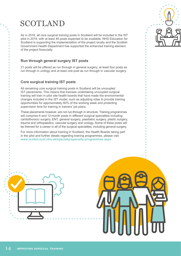### SCOTLAND

As in 2018, all core surgical training posts in Scotland will be included in the IST pilot in 2019, with at least 46 posts expected to be available. NHS Education for Scotland is supporting the implementation of the project locally and the Scottish Government Health Department has supported the enhanced training element of the project financially.

### **Run through general surgery IST posts**

21 posts will be offered as run through in general surgery; at least four posts as run through in urology and at least one post as run through in vascular surgery.

### **Core surgical training IST posts**

All remaining core surgical training posts in Scotland will be uncoupled IST placements. This means that trainees undertaking uncoupled surgical training will train in pilot site health boards that have made the environmental changes included in the IST model, such as adjusting rotas to provide training opportunities for approximately 60% of the working week and protecting supervision time for training in trainers' job plans.

These placements however, are not run-through in structure. Training programmes will comprise 6 and 12-month posts in different surgical specialties including cardiothoracic surgery, ENT, general surgery, paediatric surgery, plastic surgery, trauma and orthopaedics, vascular surgery and urology. Some of these posts will be themed for a career in all of the surgical specialties, including general surgery.

For more information about training in Scotland, the Health Boards taking part in the pilot and further details regarding training programmes, please visit **www.scotmt.scot.nhs.uk/specialty/specialty-programmes.aspx**